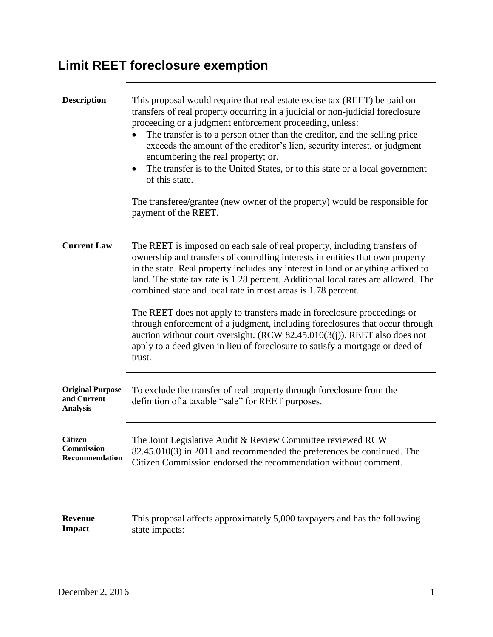## **Limit REET foreclosure exemption**

| <b>Description</b>                                        | This proposal would require that real estate excise tax (REET) be paid on<br>transfers of real property occurring in a judicial or non-judicial foreclosure<br>proceeding or a judgment enforcement proceeding, unless:<br>The transfer is to a person other than the creditor, and the selling price<br>exceeds the amount of the creditor's lien, security interest, or judgment<br>encumbering the real property; or.<br>The transfer is to the United States, or to this state or a local government<br>of this state.<br>The transferee/grantee (new owner of the property) would be responsible for<br>payment of the REET.                                                                                                          |
|-----------------------------------------------------------|--------------------------------------------------------------------------------------------------------------------------------------------------------------------------------------------------------------------------------------------------------------------------------------------------------------------------------------------------------------------------------------------------------------------------------------------------------------------------------------------------------------------------------------------------------------------------------------------------------------------------------------------------------------------------------------------------------------------------------------------|
| <b>Current Law</b>                                        | The REET is imposed on each sale of real property, including transfers of<br>ownership and transfers of controlling interests in entities that own property<br>in the state. Real property includes any interest in land or anything affixed to<br>land. The state tax rate is 1.28 percent. Additional local rates are allowed. The<br>combined state and local rate in most areas is 1.78 percent.<br>The REET does not apply to transfers made in foreclosure proceedings or<br>through enforcement of a judgment, including foreclosures that occur through<br>auction without court oversight. (RCW $82.45.010(3(j))$ . REET also does not<br>apply to a deed given in lieu of foreclosure to satisfy a mortgage or deed of<br>trust. |
| <b>Original Purpose</b><br>and Current<br><b>Analysis</b> | To exclude the transfer of real property through foreclosure from the<br>definition of a taxable "sale" for REET purposes.                                                                                                                                                                                                                                                                                                                                                                                                                                                                                                                                                                                                                 |
| <b>Citizen</b><br>Commission<br>Recommendation            | The Joint Legislative Audit & Review Committee reviewed RCW<br>82.45.010(3) in 2011 and recommended the preferences be continued. The<br>Citizen Commission endorsed the recommendation without comment.                                                                                                                                                                                                                                                                                                                                                                                                                                                                                                                                   |
|                                                           |                                                                                                                                                                                                                                                                                                                                                                                                                                                                                                                                                                                                                                                                                                                                            |
| <b>Revenue</b><br><b>Impact</b>                           | This proposal affects approximately 5,000 taxpayers and has the following<br>state impacts:                                                                                                                                                                                                                                                                                                                                                                                                                                                                                                                                                                                                                                                |